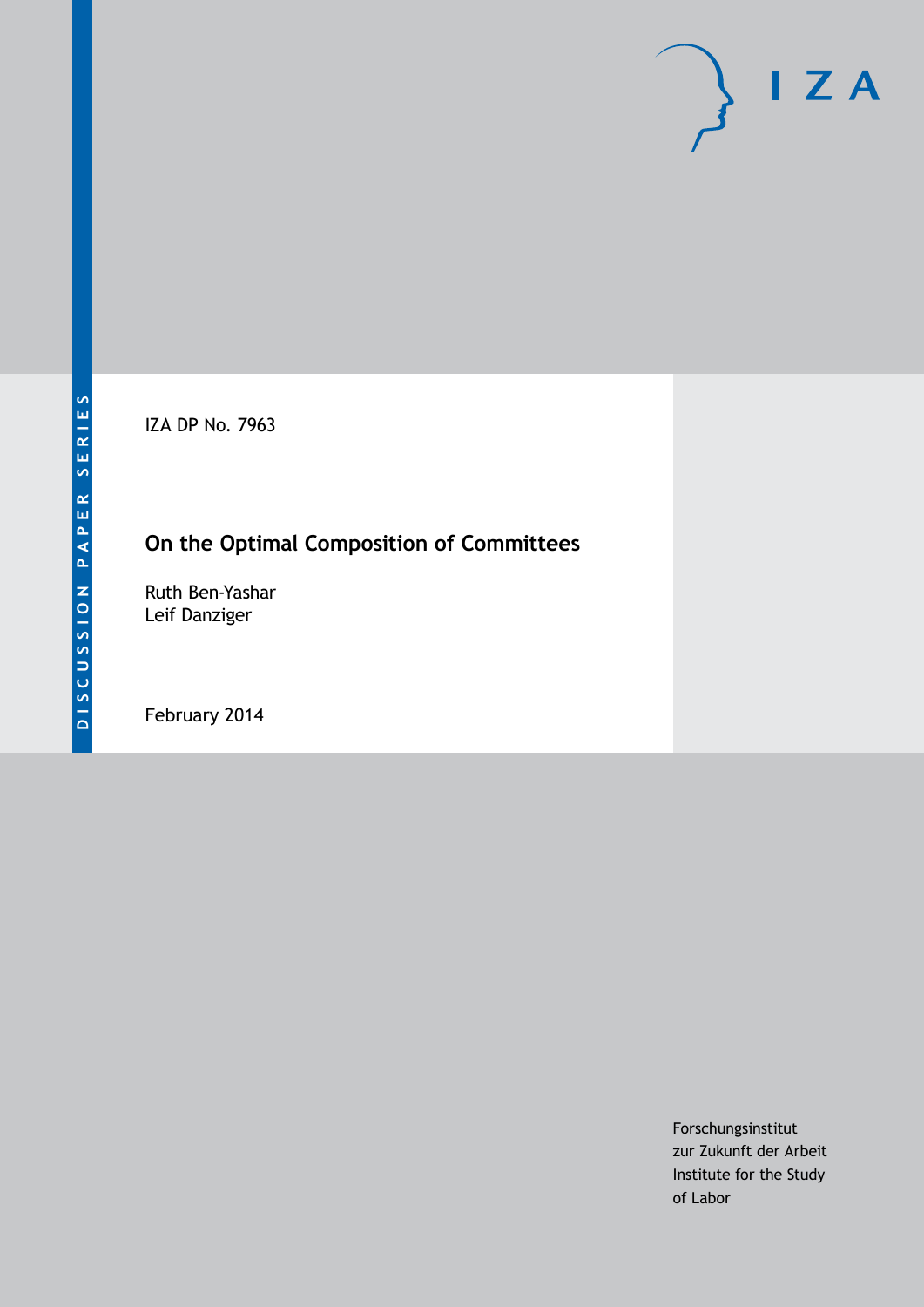IZA DP No. 7963

# **On the Optimal Composition of Committees**

Ruth Ben-Yashar Leif Danziger

February 2014

Forschungsinstitut zur Zukunft der Arbeit Institute for the Study of Labor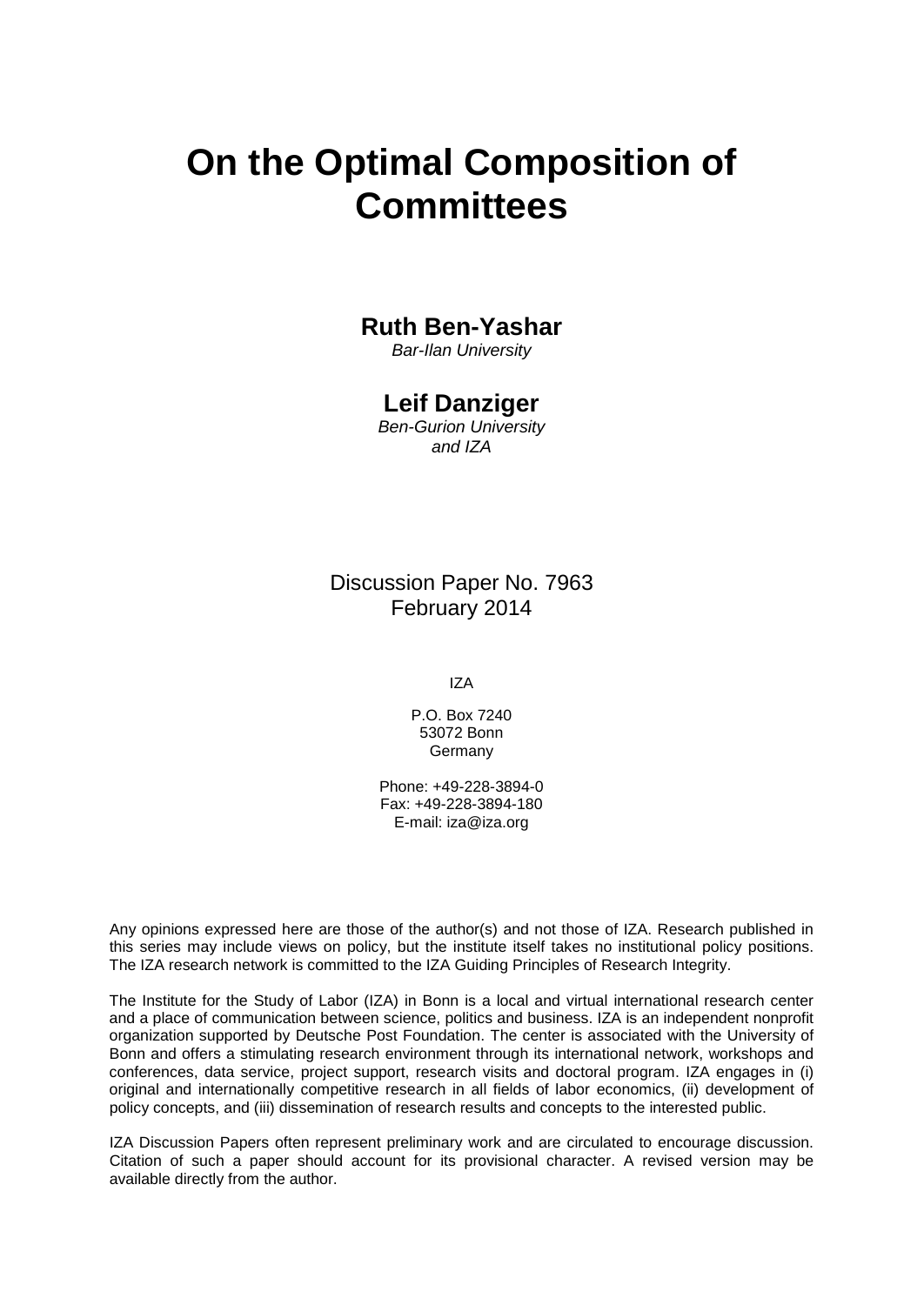# **On the Optimal Composition of Committees**

#### **Ruth Ben-Yashar**

*Bar-Ilan University*

#### **Leif Danziger**

*Ben-Gurion University and IZA*

Discussion Paper No. 7963 February 2014

IZA

P.O. Box 7240 53072 Bonn Germany

Phone: +49-228-3894-0 Fax: +49-228-3894-180 E-mail: [iza@iza.org](mailto:iza@iza.org)

Any opinions expressed here are those of the author(s) and not those of IZA. Research published in this series may include views on policy, but the institute itself takes no institutional policy positions. The IZA research network is committed to the IZA Guiding Principles of Research Integrity.

The Institute for the Study of Labor (IZA) in Bonn is a local and virtual international research center and a place of communication between science, politics and business. IZA is an independent nonprofit organization supported by Deutsche Post Foundation. The center is associated with the University of Bonn and offers a stimulating research environment through its international network, workshops and conferences, data service, project support, research visits and doctoral program. IZA engages in (i) original and internationally competitive research in all fields of labor economics, (ii) development of policy concepts, and (iii) dissemination of research results and concepts to the interested public.

IZA Discussion Papers often represent preliminary work and are circulated to encourage discussion. Citation of such a paper should account for its provisional character. A revised version may be available directly from the author.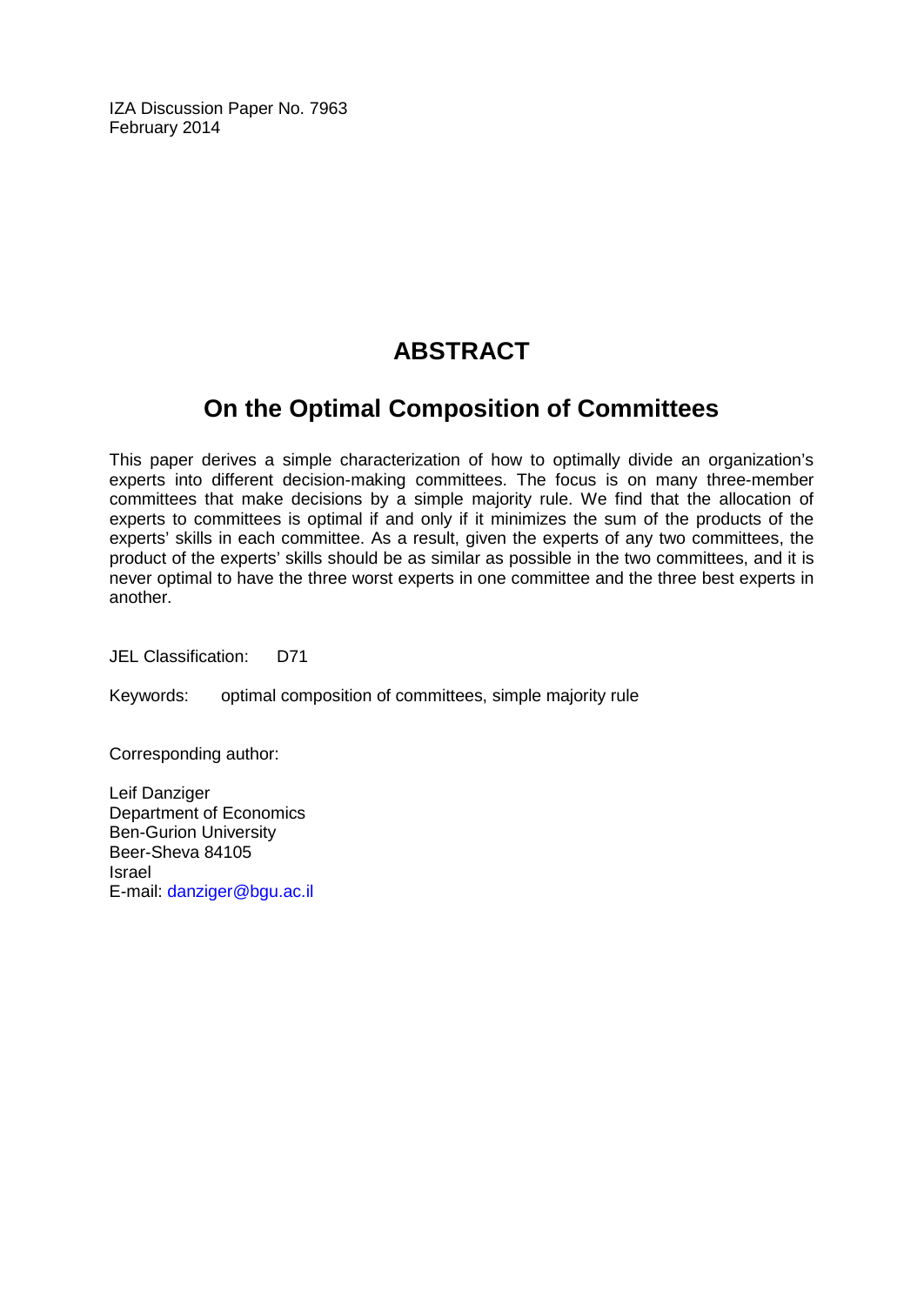IZA Discussion Paper No. 7963 February 2014

## **ABSTRACT**

## **On the Optimal Composition of Committees**

This paper derives a simple characterization of how to optimally divide an organization's experts into different decision-making committees. The focus is on many three-member committees that make decisions by a simple majority rule. We find that the allocation of experts to committees is optimal if and only if it minimizes the sum of the products of the experts' skills in each committee. As a result, given the experts of any two committees, the product of the experts' skills should be as similar as possible in the two committees, and it is never optimal to have the three worst experts in one committee and the three best experts in another.

JEL Classification: D71

Keywords: optimal composition of committees, simple majority rule

Corresponding author:

Leif Danziger Department of Economics Ben-Gurion University Beer-Sheva 84105 Israel E-mail: [danziger@bgu.ac.il](mailto:danziger@bgu.ac.il)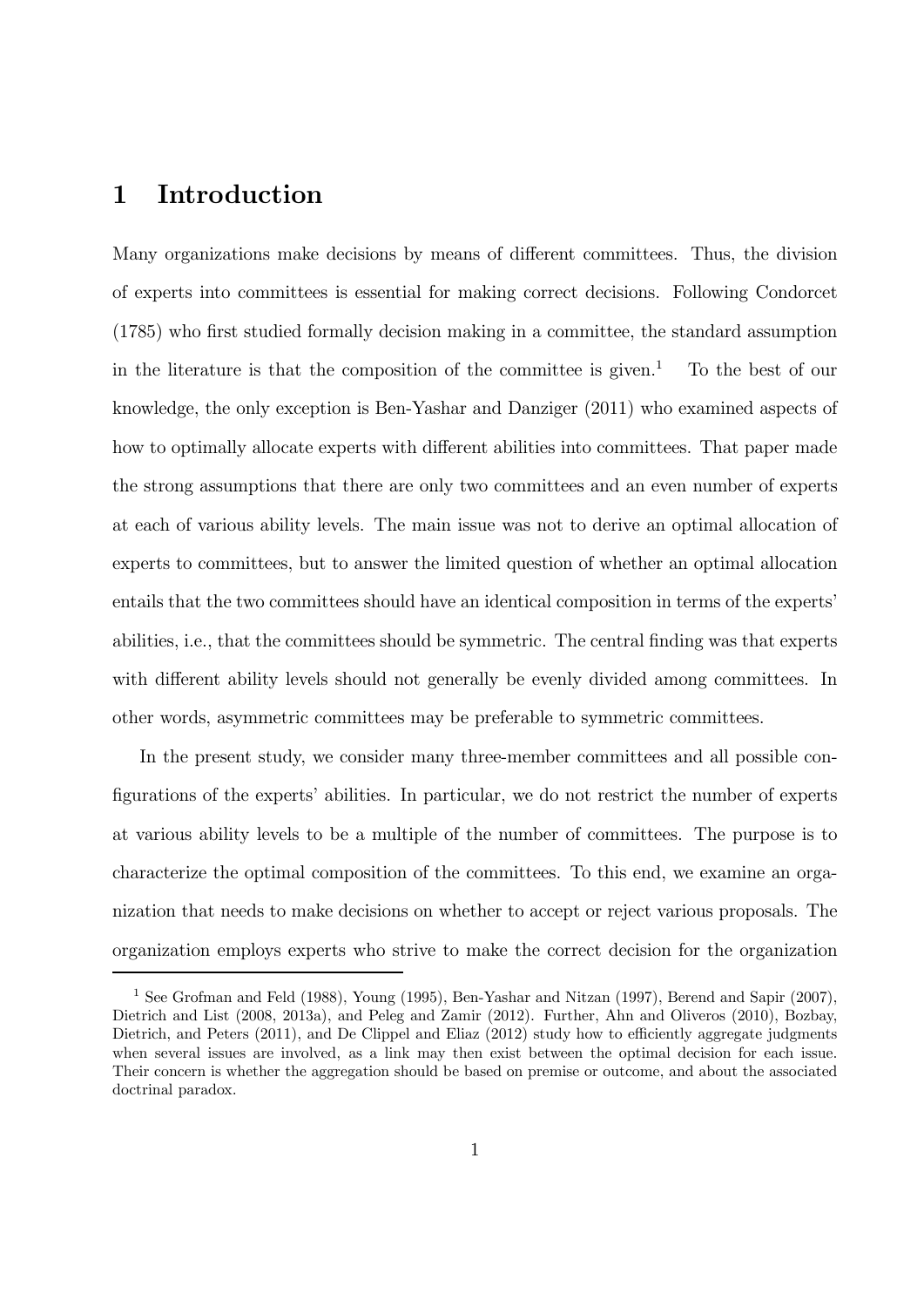#### 1 Introduction

Many organizations make decisions by means of different committees. Thus, the division of experts into committees is essential for making correct decisions. Following Condorcet (1785) who first studied formally decision making in a committee, the standard assumption in the literature is that the composition of the committee is given.<sup>1</sup> To the best of our knowledge, the only exception is Ben-Yashar and Danziger (2011) who examined aspects of how to optimally allocate experts with different abilities into committees. That paper made the strong assumptions that there are only two committees and an even number of experts at each of various ability levels. The main issue was not to derive an optimal allocation of experts to committees, but to answer the limited question of whether an optimal allocation entails that the two committees should have an identical composition in terms of the experts' abilities, i.e., that the committees should be symmetric. The central finding was that experts with different ability levels should not generally be evenly divided among committees. In other words, asymmetric committees may be preferable to symmetric committees.

In the present study, we consider many three-member committees and all possible configurations of the experts' abilities. In particular, we do not restrict the number of experts at various ability levels to be a multiple of the number of committees. The purpose is to characterize the optimal composition of the committees. To this end, we examine an organization that needs to make decisions on whether to accept or reject various proposals. The organization employs experts who strive to make the correct decision for the organization

<sup>1</sup> See Grofman and Feld (1988), Young (1995), Ben-Yashar and Nitzan (1997), Berend and Sapir (2007), Dietrich and List (2008, 2013a), and Peleg and Zamir (2012). Further, Ahn and Oliveros (2010), Bozbay, Dietrich, and Peters (2011), and De Clippel and Eliaz (2012) study how to efficiently aggregate judgments when several issues are involved, as a link may then exist between the optimal decision for each issue. Their concern is whether the aggregation should be based on premise or outcome, and about the associated doctrinal paradox.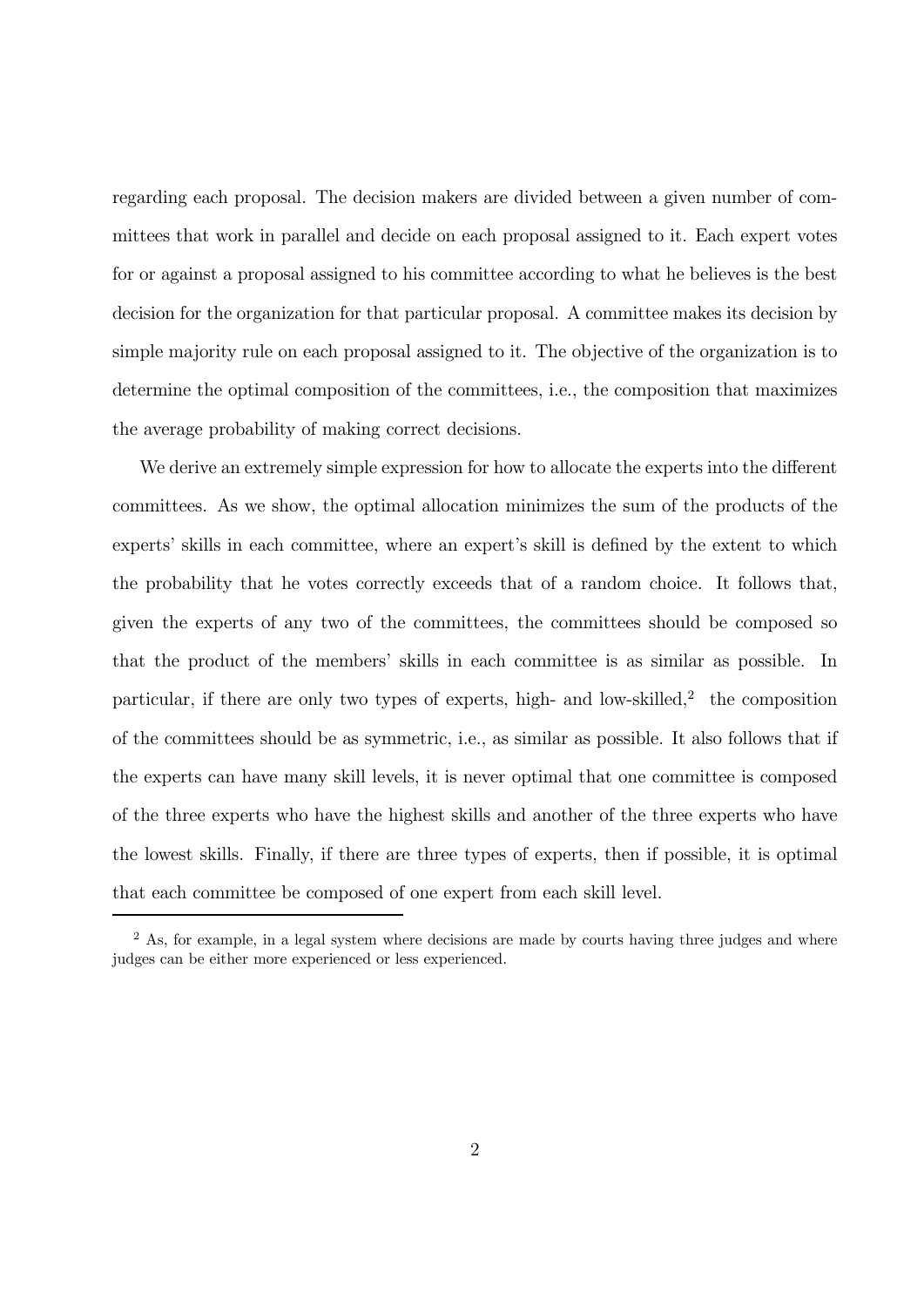regarding each proposal. The decision makers are divided between a given number of committees that work in parallel and decide on each proposal assigned to it. Each expert votes for or against a proposal assigned to his committee according to what he believes is the best decision for the organization for that particular proposal. A committee makes its decision by simple majority rule on each proposal assigned to it. The objective of the organization is to determine the optimal composition of the committees, i.e., the composition that maximizes the average probability of making correct decisions.

We derive an extremely simple expression for how to allocate the experts into the different committees. As we show, the optimal allocation minimizes the sum of the products of the experts' skills in each committee, where an expert's skill is defined by the extent to which the probability that he votes correctly exceeds that of a random choice. It follows that, given the experts of any two of the committees, the committees should be composed so that the product of the members' skills in each committee is as similar as possible. In particular, if there are only two types of experts, high- and low-skilled, $^{2}$  the composition of the committees should be as symmetric, i.e., as similar as possible. It also follows that if the experts can have many skill levels, it is never optimal that one committee is composed of the three experts who have the highest skills and another of the three experts who have the lowest skills. Finally, if there are three types of experts, then if possible, it is optimal that each committee be composed of one expert from each skill level.

<sup>&</sup>lt;sup>2</sup> As, for example, in a legal system where decisions are made by courts having three judges and where judges can be either more experienced or less experienced.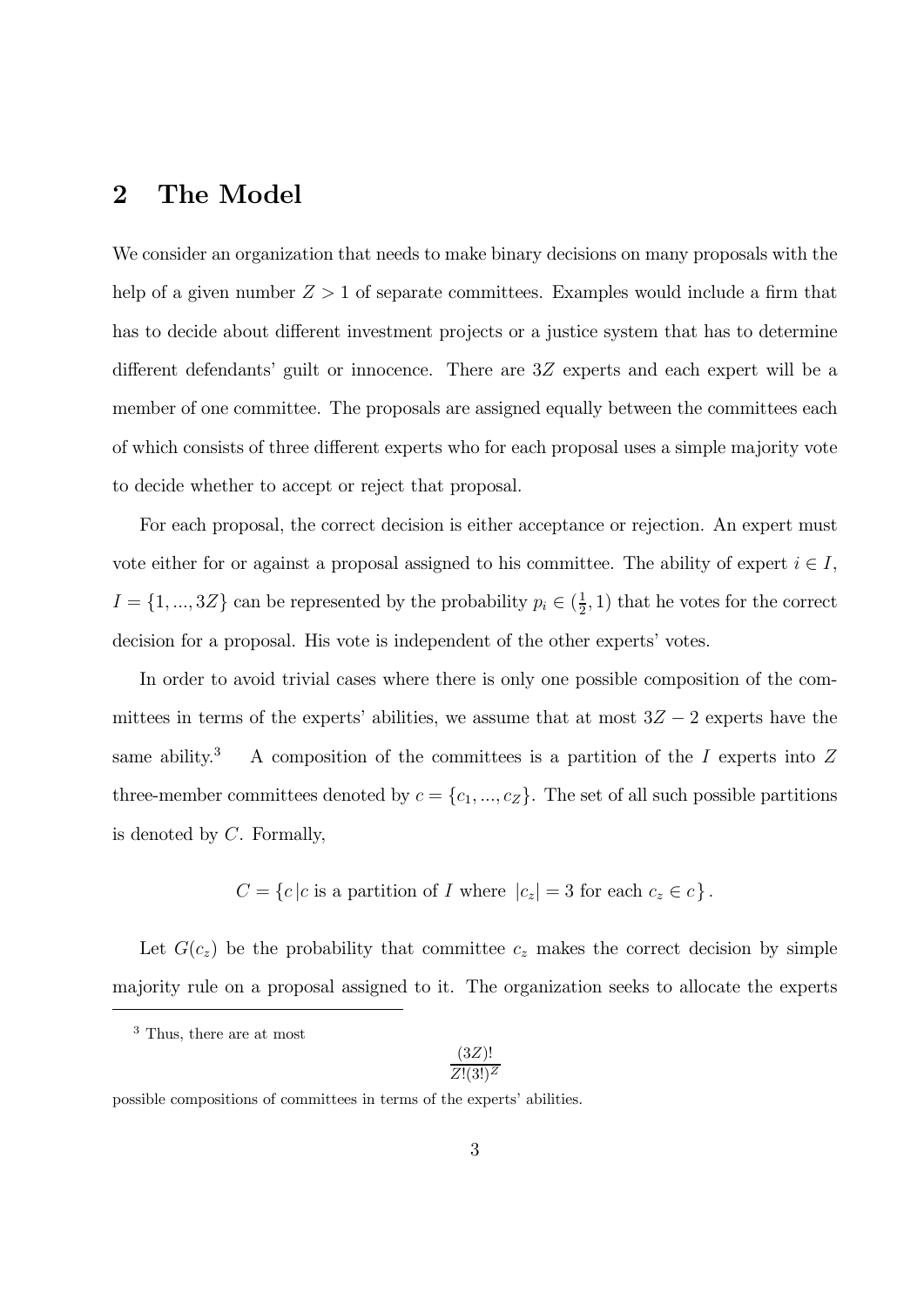#### 2 The Model

We consider an organization that needs to make binary decisions on many proposals with the help of a given number  $Z > 1$  of separate committees. Examples would include a firm that has to decide about different investment projects or a justice system that has to determine different defendants' guilt or innocence. There are  $3Z$  experts and each expert will be a member of one committee. The proposals are assigned equally between the committees each of which consists of three different experts who for each proposal uses a simple majority vote to decide whether to accept or reject that proposal.

For each proposal, the correct decision is either acceptance or rejection. An expert must vote either for or against a proposal assigned to his committee. The ability of expert  $i \in I$ ,  $I = \{1, ..., 3Z\}$  can be represented by the probability  $p_i \in (\frac{1}{2}, 1)$  that he votes for the correct decision for a proposal. His vote is independent of the other experts' votes.

In order to avoid trivial cases where there is only one possible composition of the committees in terms of the experts' abilities, we assume that at most  $3Z - 2$  experts have the same ability.<sup>3</sup> A composition of the committees is a partition of the  $I$  experts into  $Z$ three-member committees denoted by  $c = \{c_1, ..., c_Z\}$ . The set of all such possible partitions is denoted by  $C$ . Formally,

$$
C = \{c \mid c \text{ is a partition of } I \text{ where } |c_z| = 3 \text{ for each } c_z \in c \}.
$$

Let  $G(c_z)$  be the probability that committee  $c_z$  makes the correct decision by simple majority rule on a proposal assigned to it. The organization seeks to allocate the experts

$$
\frac{(3Z)!}{Z!(3!)^Z}
$$

<sup>&</sup>lt;sup>3</sup> Thus, there are at most

possible compositions of committees in terms of the experts' abilities.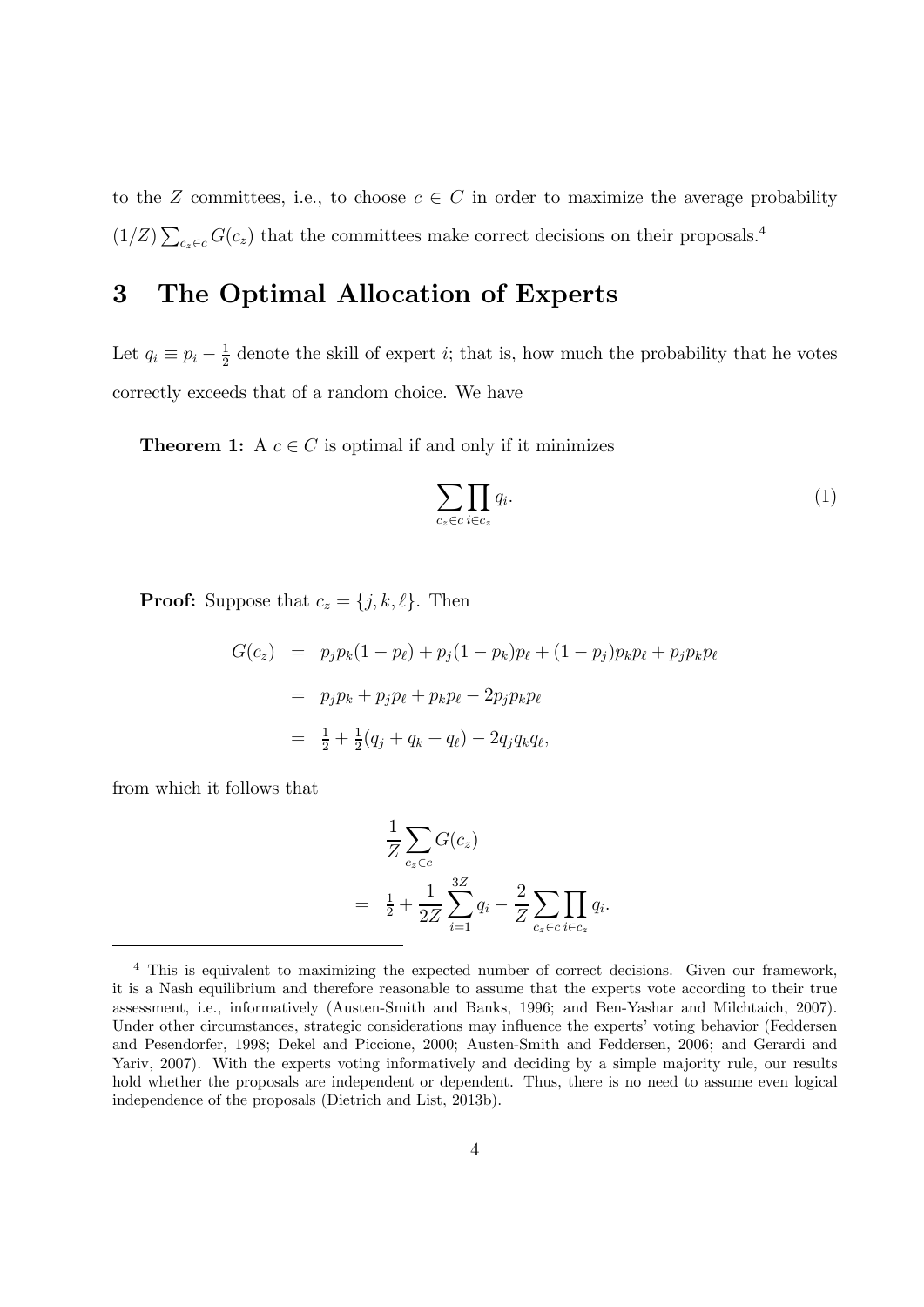to the Z committees, i.e., to choose  $c \in C$  in order to maximize the average probability  $(1/Z)\sum_{c_z\in c} G(c_z)$  that the committees make correct decisions on their proposals.<sup>4</sup>

### 3 The Optimal Allocation of Experts

Let  $q_i \equiv p_i - \frac{1}{2}$  denote the skill of expert *i*; that is, how much the probability that he votes correctly exceeds that of a random choice. We have

**Theorem 1:** A  $c \in C$  is optimal if and only if it minimizes

$$
\sum_{c_z \in c} \prod_{i \in c_z} q_i.
$$
 (1)

**Proof:** Suppose that  $c_z = \{j, k, \ell\}$ . Then

$$
G(c_z) = p_j p_k (1 - p_\ell) + p_j (1 - p_k) p_\ell + (1 - p_j) p_k p_\ell + p_j p_k p_\ell
$$
  
=  $p_j p_k + p_j p_\ell + p_k p_\ell - 2p_j p_k p_\ell$   
=  $\frac{1}{2} + \frac{1}{2} (q_j + q_k + q_\ell) - 2q_j q_k q_\ell$ ,

from which it follows that

$$
\frac{1}{Z} \sum_{c_z \in c} G(c_z) \n= \frac{1}{2} + \frac{1}{2Z} \sum_{i=1}^{3Z} q_i - \frac{2}{Z} \sum_{c_z \in c} \prod_{i \in c_z} q_i.
$$

<sup>4</sup> This is equivalent to maximizing the expected number of correct decisions. Given our framework, it is a Nash equilibrium and therefore reasonable to assume that the experts vote according to their true assessment, i.e., informatively (Austen-Smith and Banks, 1996; and Ben-Yashar and Milchtaich, 2007). Under other circumstances, strategic considerations may influence the experts' voting behavior (Feddersen and Pesendorfer, 1998; Dekel and Piccione, 2000; Austen-Smith and Feddersen, 2006; and Gerardi and Yariv, 2007). With the experts voting informatively and deciding by a simple majority rule, our results hold whether the proposals are independent or dependent. Thus, there is no need to assume even logical independence of the proposals (Dietrich and List, 2013b).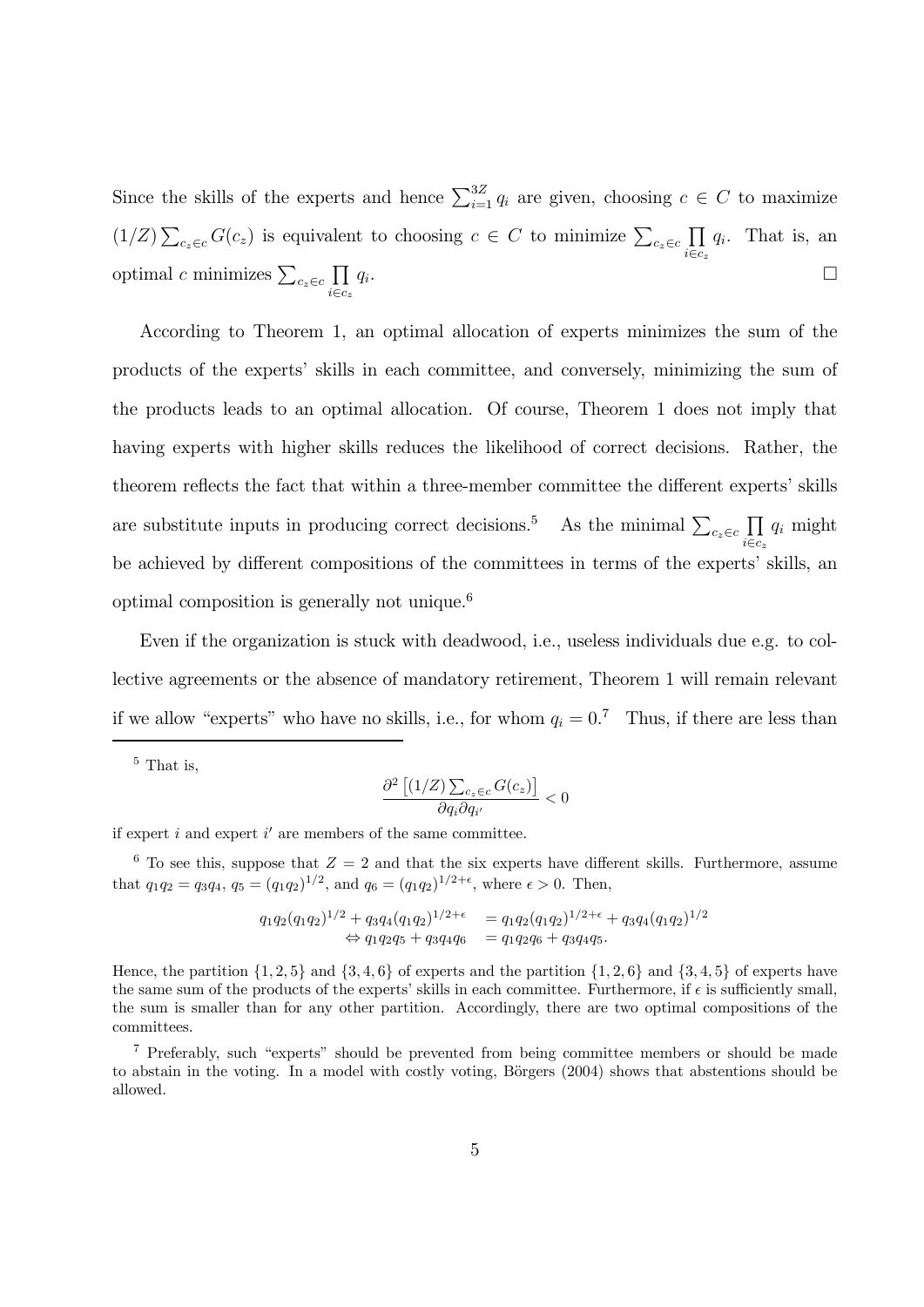Since the skills of the experts and hence  $\sum_{i=1}^{3Z} q_i$  are given, choosing  $c \in C$  to maximize  $(1/Z)\sum_{c_z\in c} G(c_z)$  is equivalent to choosing  $c \in C$  to minimize  $\sum_{c_z\in c} \prod_{i\in c}$  $i \in c_z$  $q_i$ . That is, an optimal c minimizes  $\sum_{c_z \in c} \prod_{i \in c}$  $i \in c_z$  $q_i$ .

According to Theorem 1, an optimal allocation of experts minimizes the sum of the products of the experts' skills in each committee, and conversely, minimizing the sum of the products leads to an optimal allocation. Of course, Theorem 1 does not imply that having experts with higher skills reduces the likelihood of correct decisions. Rather, the theorem reflects the fact that within a three-member committee the different experts' skills are substitute inputs in producing correct decisions.<sup>5</sup> As the minimal  $\sum_{c_z \in c} \prod_{i \in c}$  $i \in c_z$  $q_i$  might be achieved by different compositions of the committees in terms of the experts' skills, an optimal composition is generally not unique.<sup>6</sup>

Even if the organization is stuck with deadwood, i.e., useless individuals due e.g. to collective agreements or the absence of mandatory retirement, Theorem 1 will remain relevant if we allow "experts" who have no skills, i.e., for whom  $q_i = 0$ .<sup>7</sup> Thus, if there are less than

<sup>5</sup> That is,

$$
\frac{\partial^2 \left[ (1/Z) \sum_{c_z \in c} G(c_z) \right]}{\partial q_i \partial q_{i'}} < 0
$$

if expert  $i$  and expert  $i'$  are members of the same committee.

<sup>6</sup> To see this, suppose that  $Z = 2$  and that the six experts have different skills. Furthermore, assume that  $q_1q_2 = q_3q_4$ ,  $q_5 = (q_1q_2)^{1/2}$ , and  $q_6 = (q_1q_2)^{1/2+\epsilon}$ , where  $\epsilon > 0$ . Then,

$$
q_1q_2(q_1q_2)^{1/2} + q_3q_4(q_1q_2)^{1/2+\epsilon} = q_1q_2(q_1q_2)^{1/2+\epsilon} + q_3q_4(q_1q_2)^{1/2}
$$
  
\n
$$
\Leftrightarrow q_1q_2q_5 + q_3q_4q_6 = q_1q_2q_6 + q_3q_4q_5.
$$

Hence, the partition  $\{1, 2, 5\}$  and  $\{3, 4, 6\}$  of experts and the partition  $\{1, 2, 6\}$  and  $\{3, 4, 5\}$  of experts have the same sum of the products of the experts' skills in each committee. Furthermore, if  $\epsilon$  is sufficiently small, the sum is smaller than for any other partition. Accordingly, there are two optimal compositions of the committees.

<sup>7</sup> Preferably, such "experts" should be prevented from being committee members or should be made to abstain in the voting. In a model with costly voting, Börgers (2004) shows that abstentions should be allowed.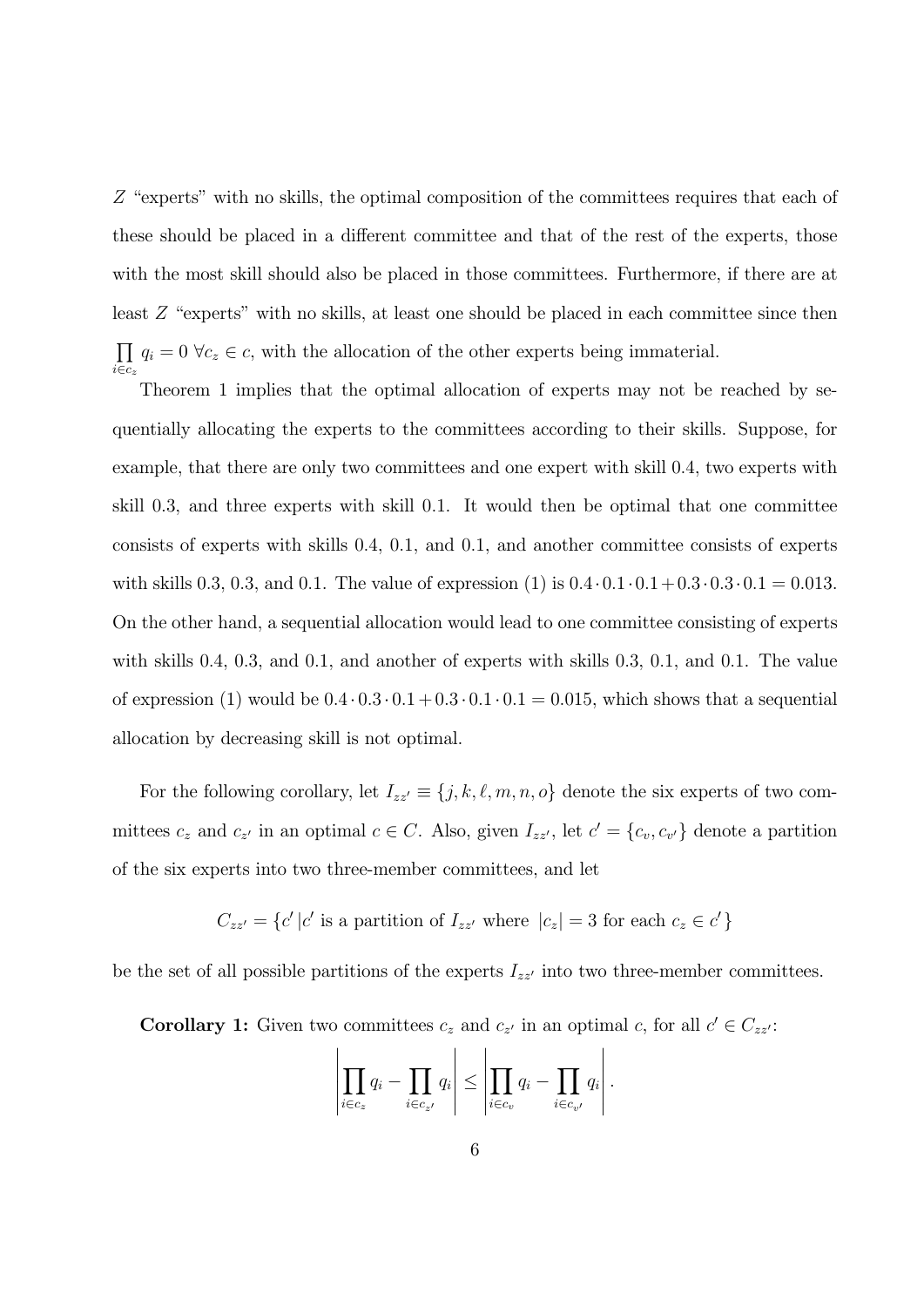Z "experts" with no skills, the optimal composition of the committees requires that each of these should be placed in a different committee and that of the rest of the experts, those with the most skill should also be placed in those committees. Furthermore, if there are at least  $Z$  "experts" with no skills, at least one should be placed in each committee since then  $\overline{\Pi}$  $\prod_{i \in c_z} q_i = 0 \ \forall c_z \in c$ , with the allocation of the other experts being immaterial.

Theorem 1 implies that the optimal allocation of experts may not be reached by sequentially allocating the experts to the committees according to their skills. Suppose, for example, that there are only two committees and one expert with skill 04, two experts with skill 0.3, and three experts with skill 0.1. It would then be optimal that one committee consists of experts with skills 04, 01, and 01, and another committee consists of experts with skills 0.3, 0.3, and 0.1. The value of expression (1) is  $0.4 \cdot 0.1 \cdot 0.1 + 0.3 \cdot 0.3 \cdot 0.1 = 0.013$ . On the other hand, a sequential allocation would lead to one committee consisting of experts with skills 0.4, 0.3, and 0.1, and another of experts with skills 0.3, 0.1, and 0.1. The value of expression (1) would be  $0.4 \cdot 0.3 \cdot 0.1 + 0.3 \cdot 0.1 \cdot 0.1 = 0.015$ , which shows that a sequential allocation by decreasing skill is not optimal.

For the following corollary, let  $I_{zz'} \equiv \{j, k, \ell, m, n, o\}$  denote the six experts of two committees  $c_z$  and  $c_{z'}$  in an optimal  $c \in C$ . Also, given  $I_{zz'}$ , let  $c' = \{c_v, c_{v'}\}$  denote a partition of the six experts into two three-member committees, and let

$$
C_{zz'} = \{c' | c' \text{ is a partition of } I_{zz'} \text{ where } |c_z| = 3 \text{ for each } c_z \in c' \}
$$

be the set of all possible partitions of the experts  $I_{zz'}$  into two three-member committees.

**Corollary 1:** Given two committees  $c_z$  and  $c_{z'}$  in an optimal c, for all  $c' \in C_{zz'}$ .

$$
\left|\prod_{i\in c_z}q_i-\prod_{i\in c_{z'}}q_i\right|\leq \left|\prod_{i\in c_v}q_i-\prod_{i\in c_{v'}}q_i\right|.
$$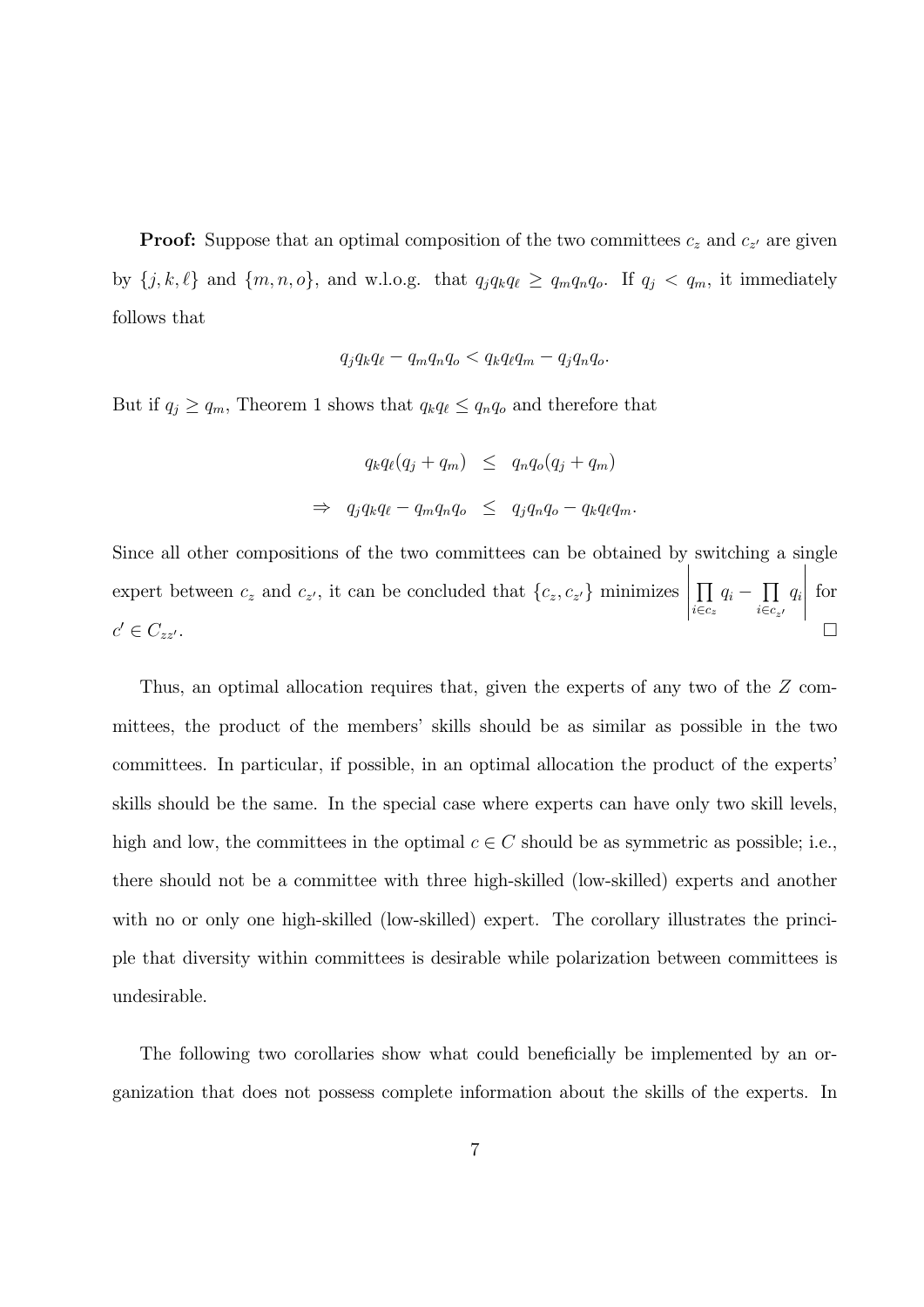**Proof:** Suppose that an optimal composition of the two committees  $c_z$  and  $c_{z'}$  are given by  $\{j, k, \ell\}$  and  $\{m, n, o\}$ , and w.l.o.g. that  $q_j q_k q_\ell \ge q_m q_n q_o$ . If  $q_j < q_m$ , it immediately follows that

$$
q_j q_k q_\ell - q_m q_n q_o < q_k q_\ell q_m - q_j q_n q_o.
$$

But if  $q_j \ge q_m$ , Theorem 1 shows that  $q_k q_\ell \le q_n q_o$  and therefore that

$$
q_k q_\ell (q_j + q_m) \leq q_n q_o (q_j + q_m)
$$
  
\n
$$
\Rightarrow q_j q_k q_\ell - q_m q_n q_o \leq q_j q_n q_o - q_k q_\ell q_m.
$$

Since all other compositions of the two committees can be obtained by switching a single expert between  $c_z$  and  $c_{z'}$ , it can be concluded that  $\{c_z, c_{z'}\}$  minimizes  $\begin{array}{c}\n\hline\n\end{array}$  $\overline{\Pi}$  $\prod_{i \in c_z} q_i - \prod_{i \in c_{z^\prime}}$  $q_i$  $\begin{array}{c|c} \hline \multicolumn{3}{c}{} & \multicolumn{3}{c}{} \\ \multicolumn{3}{c}{} & \multicolumn{3}{c}{} \\ \multicolumn{3}{c}{} & \multicolumn{3}{c}{} \\ \multicolumn{3}{c}{} & \multicolumn{3}{c}{} \\ \multicolumn{3}{c}{} & \multicolumn{3}{c}{} \\ \multicolumn{3}{c}{} & \multicolumn{3}{c}{} \\ \multicolumn{3}{c}{} & \multicolumn{3}{c}{} \\ \multicolumn{3}{c}{} & \multicolumn{3}{c}{} \\ \multicolumn{3}{c}{} & \multicolumn{3}{c}{} \\ \multicolumn{3}{c}{}$ for  $c' \in C_{zz'}$ .

Thus, an optimal allocation requires that, given the experts of any two of the  $Z$  committees, the product of the members' skills should be as similar as possible in the two committees. In particular, if possible, in an optimal allocation the product of the experts' skills should be the same. In the special case where experts can have only two skill levels, high and low, the committees in the optimal  $c \in C$  should be as symmetric as possible; i.e., there should not be a committee with three high-skilled (low-skilled) experts and another with no or only one high-skilled (low-skilled) expert. The corollary illustrates the principle that diversity within committees is desirable while polarization between committees is undesirable.

The following two corollaries show what could beneficially be implemented by an organization that does not possess complete information about the skills of the experts. In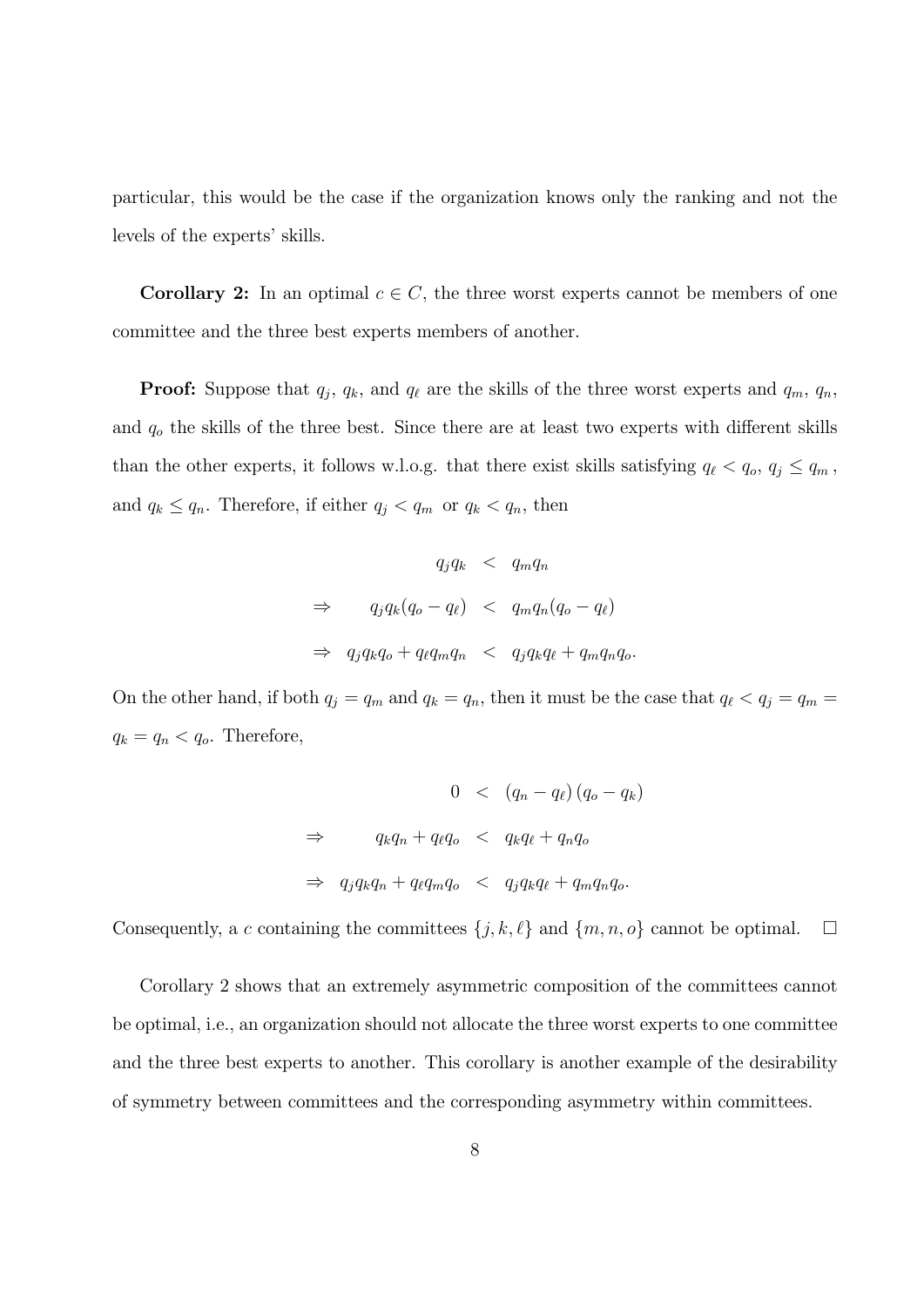particular, this would be the case if the organization knows only the ranking and not the levels of the experts' skills.

**Corollary 2:** In an optimal  $c \in C$ , the three worst experts cannot be members of one committee and the three best experts members of another.

**Proof:** Suppose that  $q_j$ ,  $q_k$ , and  $q_\ell$  are the skills of the three worst experts and  $q_m$ ,  $q_n$ , and  $q_o$  the skills of the three best. Since there are at least two experts with different skills than the other experts, it follows w.l.o.g. that there exist skills satisfying  $q_{\ell} < q_o, q_j \le q_m$ , and  $q_k \le q_n$ . Therefore, if either  $q_j < q_m$  or  $q_k < q_n$ , then

$$
q_j q_k < q_m q_n
$$
\n
$$
\Rightarrow \qquad q_j q_k (q_o - q_\ell) < q_m q_n (q_o - q_\ell)
$$
\n
$$
\Rightarrow \qquad q_j q_k q_o + q_\ell q_m q_n < q_j q_k q_\ell + q_m q_n q_o.
$$

On the other hand, if both  $q_j = q_m$  and  $q_k = q_n$ , then it must be the case that  $q_\ell < q_j = q_m =$  $q_k = q_n < q_o$ . Therefore,

$$
0 < (q_n - q_\ell)(q_o - q_k)
$$
\n
$$
\Rightarrow \quad q_k q_n + q_\ell q_o < q_k q_\ell + q_n q_o
$$
\n
$$
\Rightarrow \quad q_j q_k q_n + q_\ell q_m q_o < q_j q_k q_\ell + q_m q_n q_o.
$$

Consequently, a c containing the committees  $\{j, k, \ell\}$  and  $\{m, n, o\}$  cannot be optimal.  $\Box$ 

Corollary 2 shows that an extremely asymmetric composition of the committees cannot be optimal, i.e., an organization should not allocate the three worst experts to one committee and the three best experts to another. This corollary is another example of the desirability of symmetry between committees and the corresponding asymmetry within committees.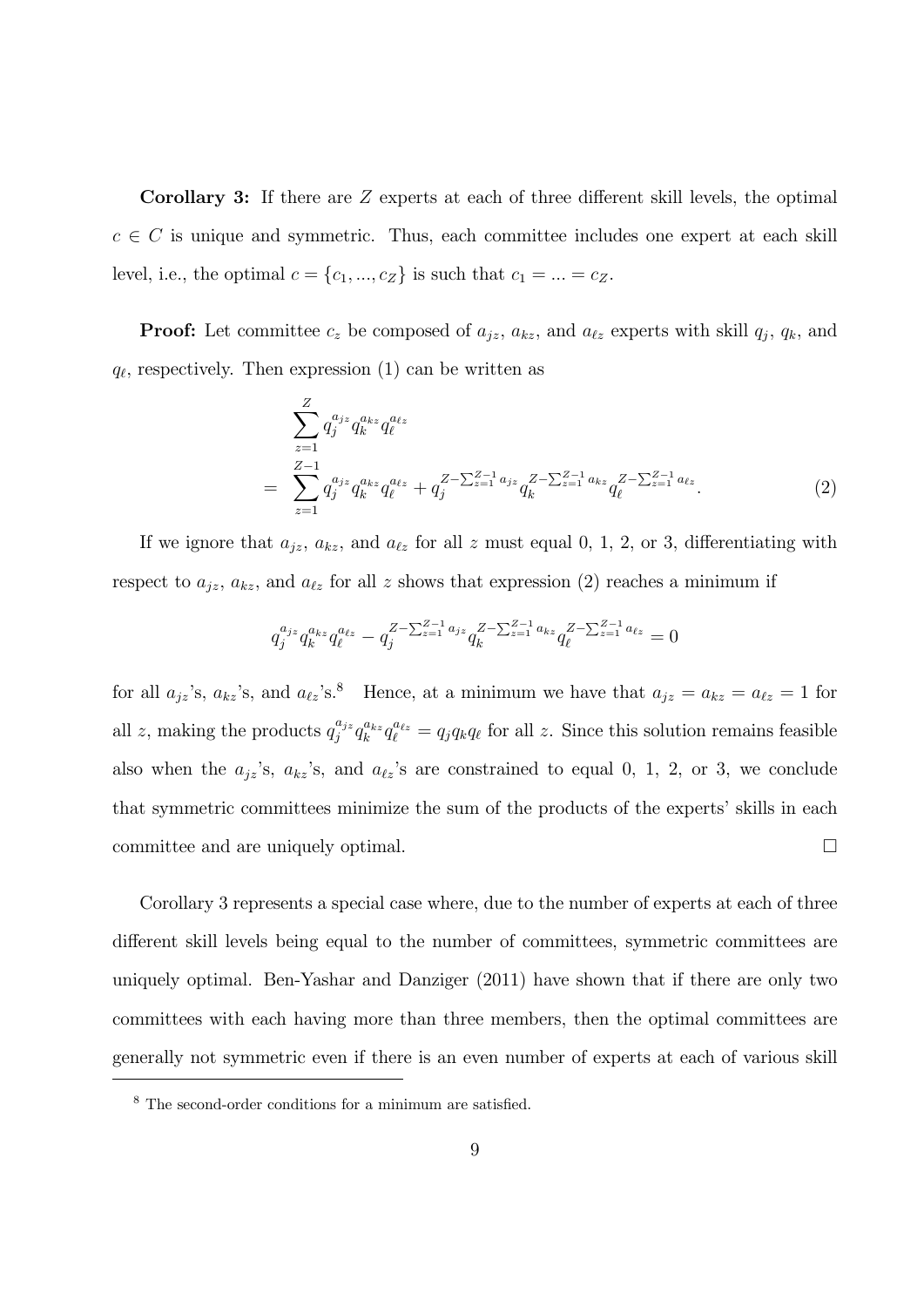Corollary 3: If there are  $Z$  experts at each of three different skill levels, the optimal  $c \in C$  is unique and symmetric. Thus, each committee includes one expert at each skill level, i.e., the optimal  $c = \{c_1, ..., c_Z\}$  is such that  $c_1 = ... = c_Z$ .

**Proof:** Let committee  $c_z$  be composed of  $a_{jz}$ ,  $a_{kz}$ , and  $a_{\ell z}$  experts with skill  $q_j$ ,  $q_k$ , and  $q_{\ell}$ , respectively. Then expression (1) can be written as

$$
\sum_{z=1}^{Z} q_j^{a_{jz}} q_k^{a_{kz}} q_\ell^{a_{\ell z}}\n= \sum_{z=1}^{Z-1} q_j^{a_{jz}} q_k^{a_{kz}} q_\ell^{a_{\ell z}} + q_j^{Z-\sum_{z=1}^{Z-1} a_{jz}} q_k^{Z-\sum_{z=1}^{Z-1} a_{kz}} q_\ell^{Z-\sum_{z=1}^{Z-1} a_{\ell z}}.
$$
\n(2)

If we ignore that  $a_{jz}$ ,  $a_{kz}$ , and  $a_{\ell z}$  for all  $z$  must equal 0, 1, 2, or 3, differentiating with respect to  $a_{jz}$ ,  $a_{kz}$ , and  $a_{\ell z}$  for all z shows that expression (2) reaches a minimum if

$$
q_j^{a_{jz}} q_k^{a_{kz}} q_\ell^{a_{\ell z}} - q_j^{Z - \sum_{z=1}^{Z-1} a_{jz}} q_k^{Z - \sum_{z=1}^{Z-1} a_{kz}} q_\ell^{Z - \sum_{z=1}^{Z-1} a_{\ell z}} = 0
$$

for all  $a_{jz}$ 's,  $a_{kz}$ 's, and  $a_{\ell z}$ 's.<sup>8</sup> Hence, at a minimum we have that  $a_{jz} = a_{kz} = a_{\ell z} = 1$  for all z, making the products  $q_j^{a_{jz}} q_k^{a_{kz}} q_\ell^{a_{\ell z}} = q_j q_k q_\ell$  for all z. Since this solution remains feasible also when the  $a_{jz}$ 's,  $a_{kz}$ 's, and  $a_{\ell z}$ 's are constrained to equal 0, 1, 2, or 3, we conclude that symmetric committees minimize the sum of the products of the experts' skills in each committee and are uniquely optimal.  $\Box$ 

Corollary 3 represents a special case where, due to the number of experts at each of three different skill levels being equal to the number of committees, symmetric committees are uniquely optimal. Ben-Yashar and Danziger (2011) have shown that if there are only two committees with each having more than three members, then the optimal committees are generally not symmetric even if there is an even number of experts at each of various skill

<sup>8</sup> The second-order conditions for a minimum are satisfied.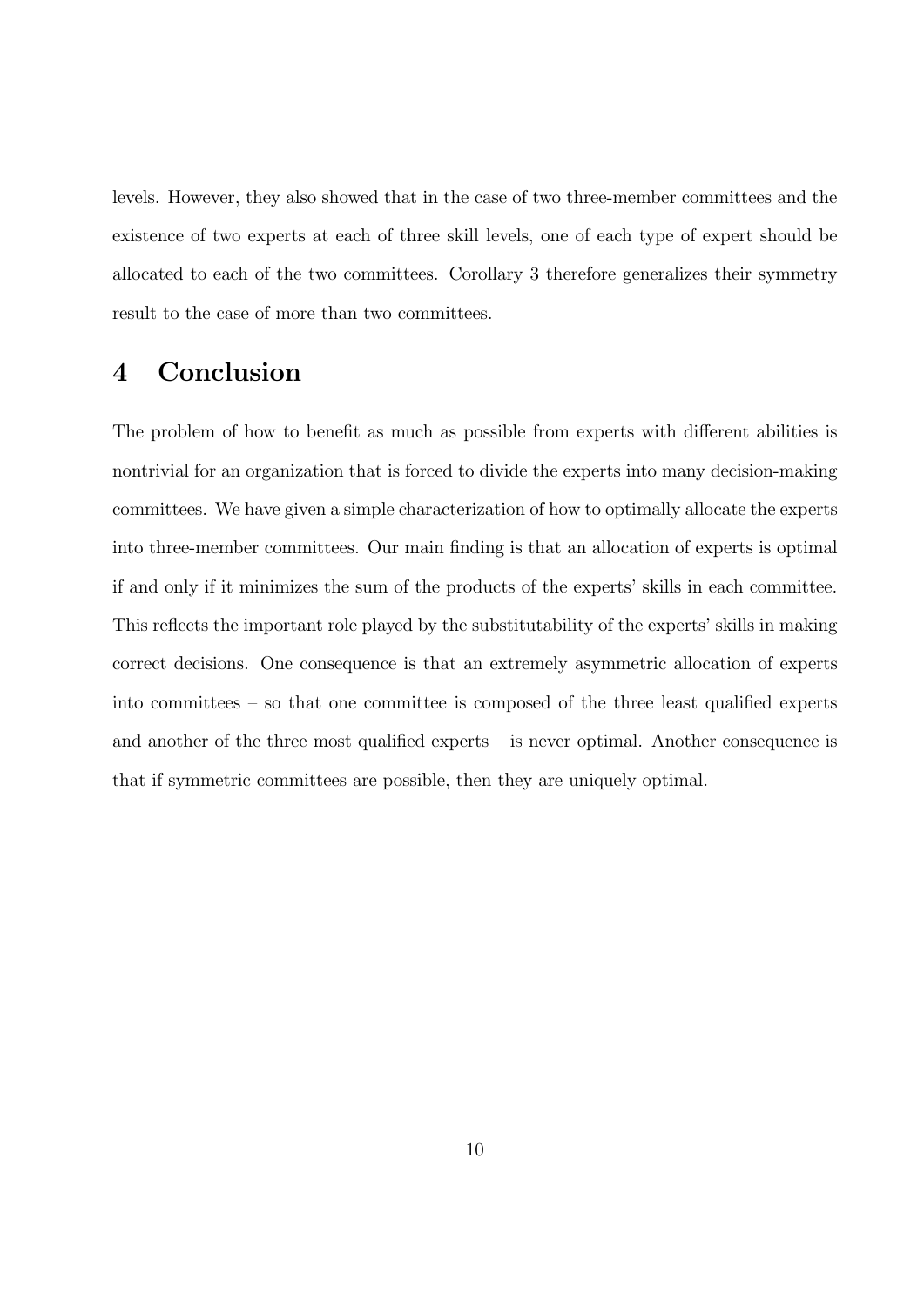levels. However, they also showed that in the case of two three-member committees and the existence of two experts at each of three skill levels, one of each type of expert should be allocated to each of the two committees. Corollary 3 therefore generalizes their symmetry result to the case of more than two committees.

## 4 Conclusion

The problem of how to benefit as much as possible from experts with different abilities is nontrivial for an organization that is forced to divide the experts into many decision-making committees. We have given a simple characterization of how to optimally allocate the experts into three-member committees. Our main finding is that an allocation of experts is optimal if and only if it minimizes the sum of the products of the experts' skills in each committee. This reflects the important role played by the substitutability of the experts' skills in making correct decisions. One consequence is that an extremely asymmetric allocation of experts into committees — so that one committee is composed of the three least qualified experts and another of the three most qualified experts — is never optimal. Another consequence is that if symmetric committees are possible, then they are uniquely optimal.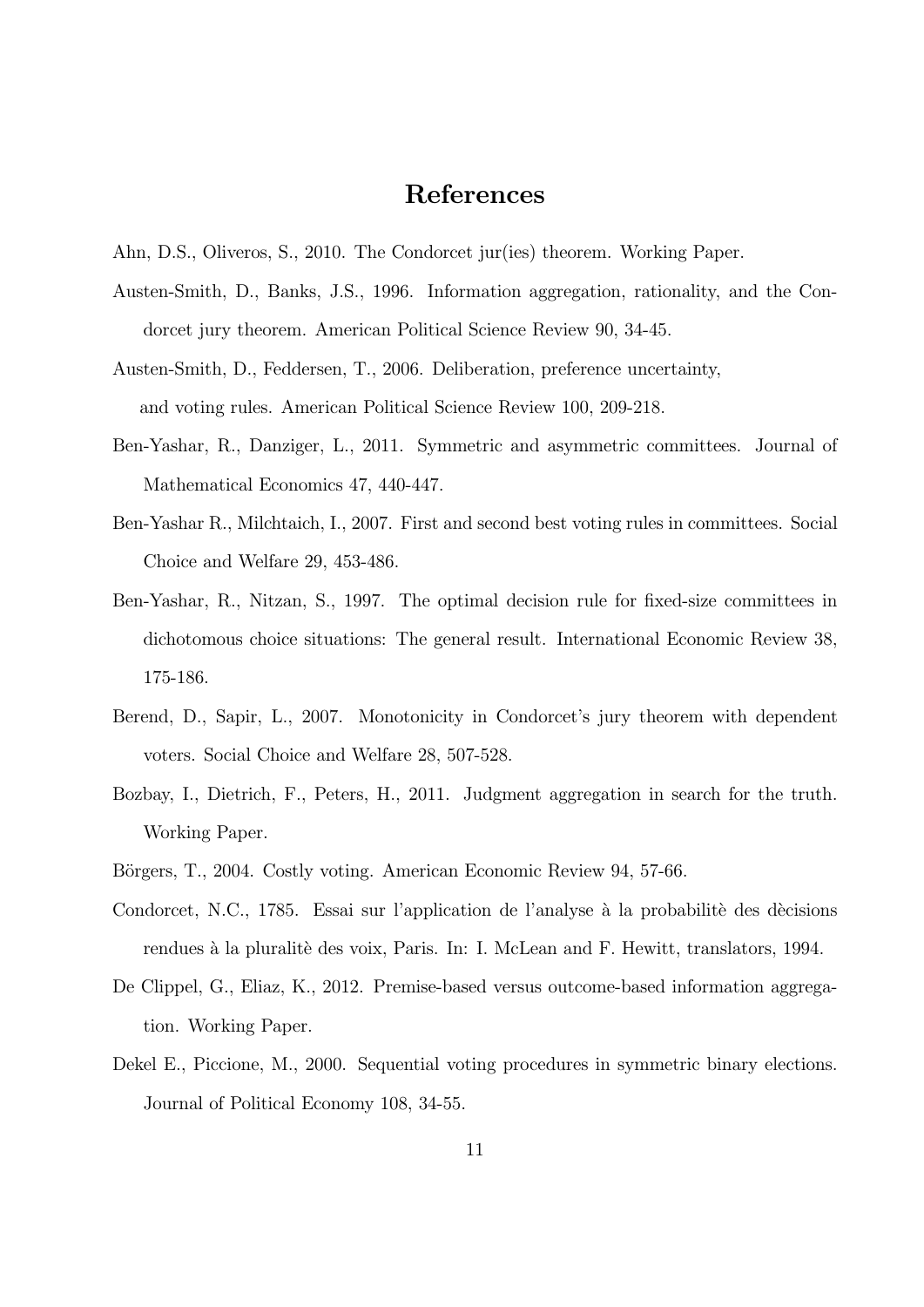## References

- Ahn, D.S., Oliveros, S., 2010. The Condorcet jur(ies) theorem. Working Paper.
- Austen-Smith, D., Banks, J.S., 1996. Information aggregation, rationality, and the Condorcet jury theorem. American Political Science Review 90, 34-45.
- Austen-Smith, D., Feddersen, T., 2006. Deliberation, preference uncertainty, and voting rules. American Political Science Review 100, 209-218.
- Ben-Yashar, R., Danziger, L., 2011. Symmetric and asymmetric committees. Journal of Mathematical Economics 47, 440-447.
- Ben-Yashar R., Milchtaich, I., 2007. First and second best voting rules in committees. Social Choice and Welfare 29, 453-486.
- Ben-Yashar, R., Nitzan, S., 1997. The optimal decision rule for fixed-size committees in dichotomous choice situations: The general result. International Economic Review 38, 175-186.
- Berend, D., Sapir, L., 2007. Monotonicity in Condorcet's jury theorem with dependent voters. Social Choice and Welfare 28, 507-528.
- Bozbay, I., Dietrich, F., Peters, H., 2011. Judgment aggregation in search for the truth. Working Paper.
- Börgers, T., 2004. Costly voting. American Economic Review 94, 57-66.
- Condorcet, N.C., 1785. Essai sur l'application de l'analyse à la probabilité des dècisions rendues à la pluralité des voix, Paris. In: I. McLean and F. Hewitt, translators, 1994.
- De Clippel, G., Eliaz, K., 2012. Premise-based versus outcome-based information aggregation. Working Paper.
- Dekel E., Piccione, M., 2000. Sequential voting procedures in symmetric binary elections. Journal of Political Economy 108, 34-55.